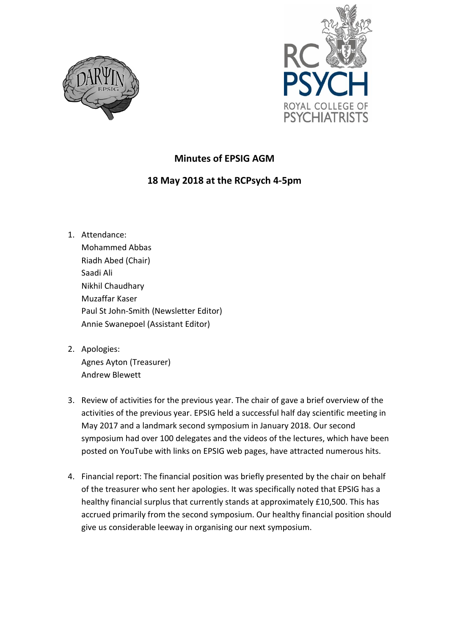



## **Minutes of EPSIG AGM**

## **18 May 2018 at the RCPsych 4-5pm**

- 1. Attendance: Mohammed Abbas Riadh Abed (Chair) Saadi Ali Nikhil Chaudhary Muzaffar Kaser Paul St John-Smith (Newsletter Editor) Annie Swanepoel (Assistant Editor)
- 2. Apologies: Agnes Ayton (Treasurer) Andrew Blewett
- 3. Review of activities for the previous year. The chair of gave a brief overview of the activities of the previous year. EPSIG held a successful half day scientific meeting in May 2017 and a landmark second symposium in January 2018. Our second symposium had over 100 delegates and the videos of the lectures, which have been posted on YouTube with links on EPSIG web pages, have attracted numerous hits.
- 4. Financial report: The financial position was briefly presented by the chair on behalf of the treasurer who sent her apologies. It was specifically noted that EPSIG has a healthy financial surplus that currently stands at approximately £10,500. This has accrued primarily from the second symposium. Our healthy financial position should give us considerable leeway in organising our next symposium.